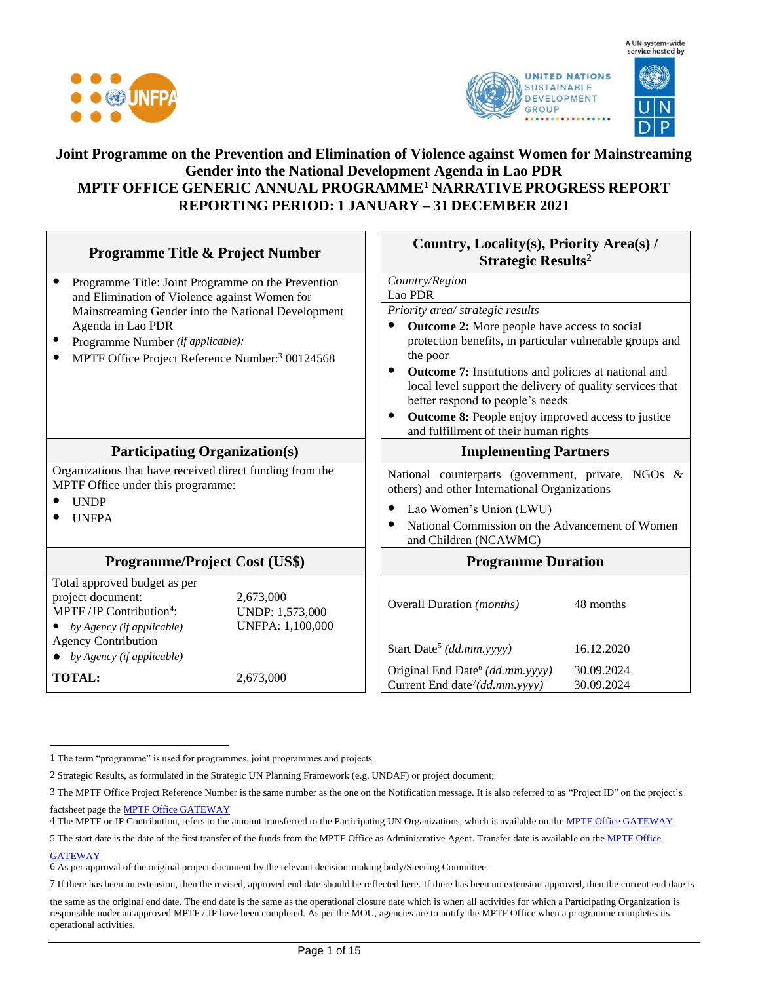





#### **Joint Programme on the Prevention and Elimination of Violence against Women for Mainstreaming Gender into the National Development Agenda in Lao PDR MPTF OFFICE GENERIC ANNUAL PROGRAMME<sup>1</sup> NARRATIVE PROGRESS REPORT REPORTING PERIOD: 1 JANUARY – 31 DECEMBER 2021**

|                                                                                                                                                                        | <b>Programme Title &amp; Project Number</b> | Country, Locality(s), Priority Area(s) /<br><b>Strategic Results<sup>2</sup></b>                                                                                          |            |  |
|------------------------------------------------------------------------------------------------------------------------------------------------------------------------|---------------------------------------------|---------------------------------------------------------------------------------------------------------------------------------------------------------------------------|------------|--|
| Programme Title: Joint Programme on the Prevention<br>$\bullet$<br>and Elimination of Violence against Women for<br>Mainstreaming Gender into the National Development |                                             | Country/Region                                                                                                                                                            |            |  |
|                                                                                                                                                                        |                                             | Lao PDR<br>Priority area/ strategic results                                                                                                                               |            |  |
| Agenda in Lao PDR                                                                                                                                                      |                                             | <b>Outcome 2:</b> More people have access to social                                                                                                                       |            |  |
| Programme Number (if applicable):                                                                                                                                      |                                             | protection benefits, in particular vulnerable groups and                                                                                                                  |            |  |
| MPTF Office Project Reference Number: <sup>3</sup> 00124568                                                                                                            |                                             | the poor                                                                                                                                                                  |            |  |
|                                                                                                                                                                        |                                             | <b>Outcome 7:</b> Institutions and policies at national and<br>$\bullet$<br>local level support the delivery of quality services that<br>better respond to people's needs |            |  |
|                                                                                                                                                                        |                                             | Outcome 8: People enjoy improved access to justice<br>$\bullet$<br>and fulfillment of their human rights                                                                  |            |  |
| <b>Participating Organization(s)</b>                                                                                                                                   |                                             | <b>Implementing Partners</b>                                                                                                                                              |            |  |
| Organizations that have received direct funding from the<br>MPTF Office under this programme:                                                                          |                                             | National counterparts (government, private, NGOs &<br>others) and other International Organizations                                                                       |            |  |
| <b>UNDP</b>                                                                                                                                                            |                                             | Lao Women's Union (LWU)                                                                                                                                                   |            |  |
| <b>UNFPA</b>                                                                                                                                                           |                                             | National Commission on the Advancement of Women<br>and Children (NCAWMC)                                                                                                  |            |  |
| <b>Programme/Project Cost (US\$)</b>                                                                                                                                   |                                             | <b>Programme Duration</b>                                                                                                                                                 |            |  |
| Total approved budget as per                                                                                                                                           |                                             |                                                                                                                                                                           |            |  |
| project document:<br>MPTF /JP Contribution <sup>4</sup> :                                                                                                              | 2,673,000<br>UNDP: 1,573,000                | <b>Overall Duration</b> ( <i>months</i> )                                                                                                                                 | 48 months  |  |
| by Agency (if applicable)                                                                                                                                              | UNFPA: 1,100,000                            |                                                                                                                                                                           |            |  |
| <b>Agency Contribution</b><br>$\bullet$ by Agency (if applicable)                                                                                                      |                                             | Start Date <sup>5</sup> (dd.mm.yyyy)                                                                                                                                      | 16.12.2020 |  |
| <b>TOTAL:</b>                                                                                                                                                          | 2,673,000                                   | Original End Date <sup>6</sup> (dd.mm.yyyy)                                                                                                                               | 30.09.2024 |  |
|                                                                                                                                                                        |                                             | Current End date <sup>7</sup> (dd.mm.yyyy)                                                                                                                                | 30.09.2024 |  |

<sup>1</sup> The term "programme" is used for programmes, joint programmes and projects.

<sup>2</sup> Strategic Results, as formulated in the Strategic UN Planning Framework (e.g. UNDAF) or project document;

<sup>3</sup> The MPTF Office Project Reference Number is the same number as the one on the Notification message. It is also referred to as "Project ID" on the project's factsheet page th[e MPTF Office GATEWAY](http://mdtf.undp.org/)

<sup>4</sup> The MPTF or JP Contribution, refers to the amount transferred to the Participating UN Organizations, which is available on th[e MPTF Office GATEWAY](http://mdtf.undp.org/)

<sup>5</sup> The start date is the date of the first transfer of the funds from the MPTF Office as Administrative Agent. Transfer date is available on th[e MPTF Office](http://mdtf.undp.org/)  **[GATEWAY](http://mdtf.undp.org/)** 

<sup>6</sup> As per approval of the original project document by the relevant decision-making body/Steering Committee.

<sup>7</sup> If there has been an extension, then the revised, approved end date should be reflected here. If there has been no extension approved, then the current end date is

the same as the original end date. The end date is the same as the operational closure date which is when all activities for which a Participating Organization is responsible under an approved MPTF / JP have been completed. As per the MOU, agencies are to notify the MPTF Office when a programme completes its operational activities.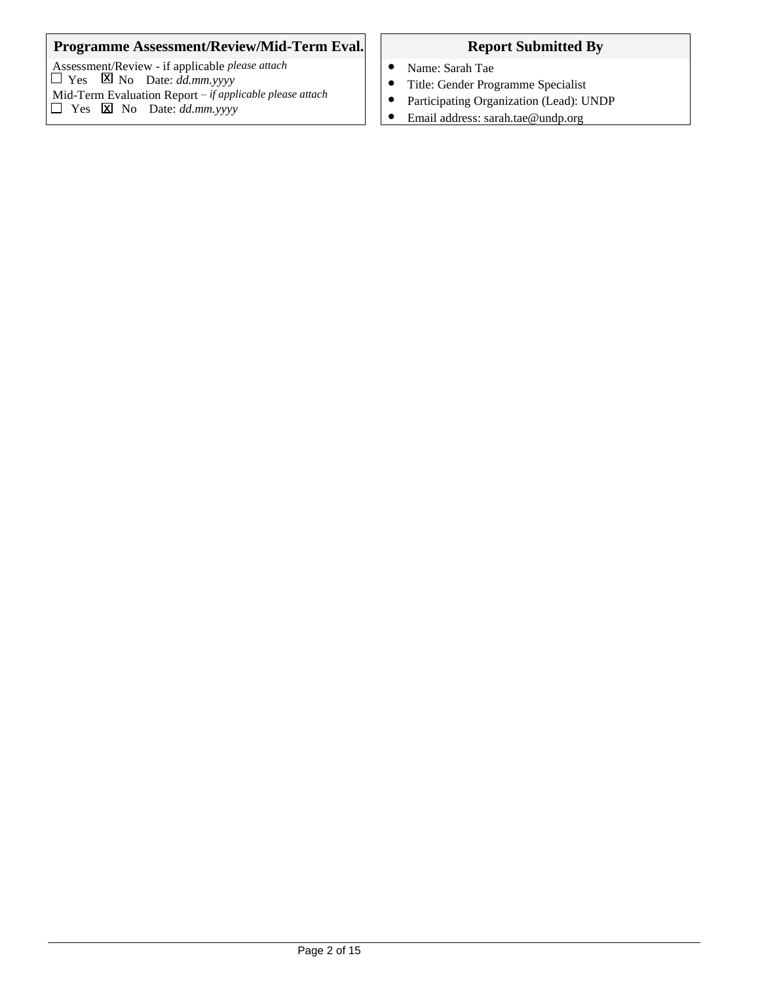#### **Programme Assessment/Review/Mid-Term Eval.** Report Submitted By

Assessment/Review - if applicable *please attach*  $\Box$  Yes  $\Box$  No Date: *dd.mm.yyyy* Mid-Term Evaluation Report *– if applicable please attach*  $\Box$  Yes  $\boxtimes$  No Date: *dd.mm.yyyy* x x

- Name: Sarah Tae
- Title: Gender Programme Specialist
- Participating Organization (Lead): UNDP
- Email address: sarah.tae@undp.org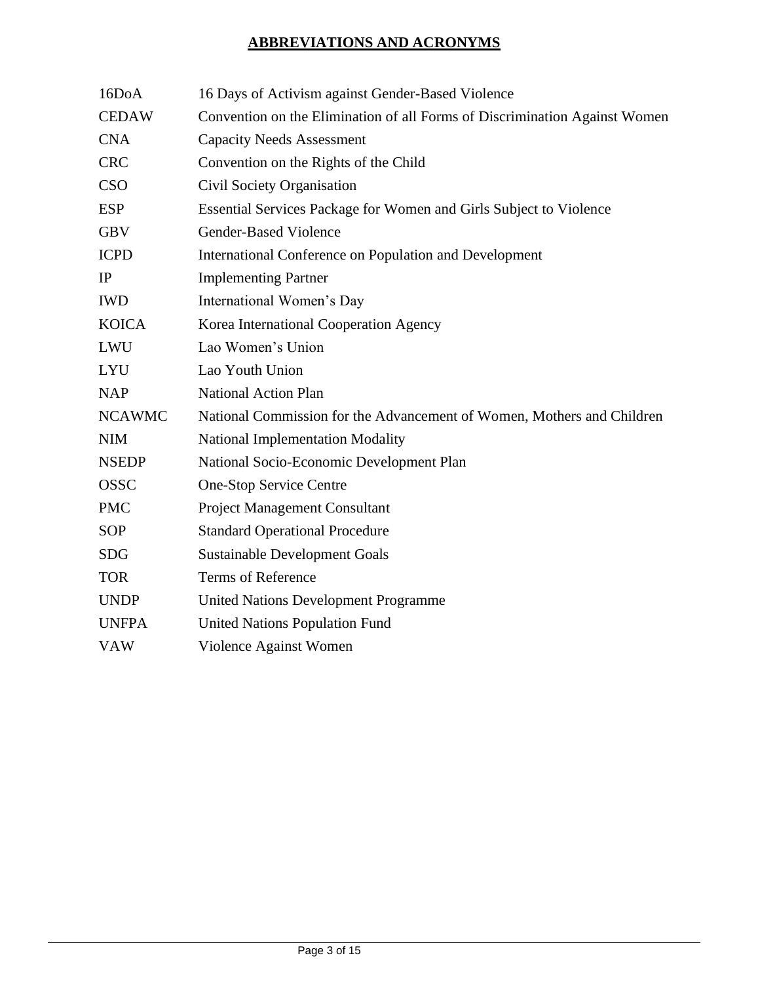# **ABBREVIATIONS AND ACRONYMS**

| 16DoA         | 16 Days of Activism against Gender-Based Violence                          |
|---------------|----------------------------------------------------------------------------|
| <b>CEDAW</b>  | Convention on the Elimination of all Forms of Discrimination Against Women |
| <b>CNA</b>    | <b>Capacity Needs Assessment</b>                                           |
| <b>CRC</b>    | Convention on the Rights of the Child                                      |
| <b>CSO</b>    | Civil Society Organisation                                                 |
| <b>ESP</b>    | Essential Services Package for Women and Girls Subject to Violence         |
| <b>GBV</b>    | Gender-Based Violence                                                      |
| <b>ICPD</b>   | International Conference on Population and Development                     |
| IP            | <b>Implementing Partner</b>                                                |
| <b>IWD</b>    | International Women's Day                                                  |
| <b>KOICA</b>  | Korea International Cooperation Agency                                     |
| <b>LWU</b>    | Lao Women's Union                                                          |
| <b>LYU</b>    | Lao Youth Union                                                            |
| <b>NAP</b>    | <b>National Action Plan</b>                                                |
| <b>NCAWMC</b> | National Commission for the Advancement of Women, Mothers and Children     |
| <b>NIM</b>    | <b>National Implementation Modality</b>                                    |
| <b>NSEDP</b>  | National Socio-Economic Development Plan                                   |
| <b>OSSC</b>   | <b>One-Stop Service Centre</b>                                             |
| <b>PMC</b>    | <b>Project Management Consultant</b>                                       |
| <b>SOP</b>    | <b>Standard Operational Procedure</b>                                      |
| <b>SDG</b>    | <b>Sustainable Development Goals</b>                                       |
| <b>TOR</b>    | <b>Terms of Reference</b>                                                  |
| <b>UNDP</b>   | <b>United Nations Development Programme</b>                                |
| <b>UNFPA</b>  | <b>United Nations Population Fund</b>                                      |
| <b>VAW</b>    | Violence Against Women                                                     |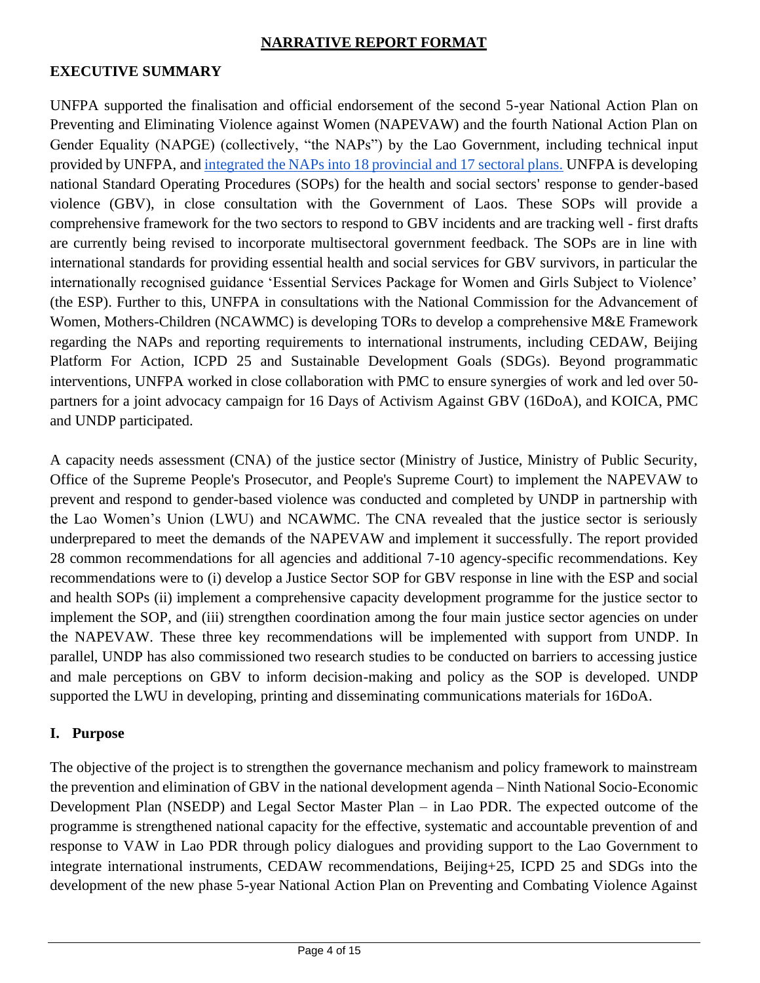#### **NARRATIVE REPORT FORMAT**

#### **EXECUTIVE SUMMARY**

UNFPA supported the finalisation and official endorsement of the second 5-year National Action Plan on Preventing and Eliminating Violence against Women (NAPEVAW) and the fourth National Action Plan on Gender Equality (NAPGE) (collectively, "the NAPs") by the Lao Government, including technical input provided by UNFPA, and [integrated the NAPs into 18 provincial and 17 sectoral plans.](https://lao.unfpa.org/en/news/lao-pdr-integrates-national-policies-gender-equality-and-ending-violence-against-women-and) UNFPA is developing national Standard Operating Procedures (SOPs) for the health and social sectors' response to gender-based violence (GBV), in close consultation with the Government of Laos. These SOPs will provide a comprehensive framework for the two sectors to respond to GBV incidents and are tracking well - first drafts are currently being revised to incorporate multisectoral government feedback. The SOPs are in line with international standards for providing essential health and social services for GBV survivors, in particular the internationally recognised guidance 'Essential Services Package for Women and Girls Subject to Violence' (the ESP). Further to this, UNFPA in consultations with the National Commission for the Advancement of Women, Mothers-Children (NCAWMC) is developing TORs to develop a comprehensive M&E Framework regarding the NAPs and reporting requirements to international instruments, including CEDAW, Beijing Platform For Action, ICPD 25 and Sustainable Development Goals (SDGs). Beyond programmatic interventions, UNFPA worked in close collaboration with PMC to ensure synergies of work and led over 50 partners for a joint advocacy campaign for 16 Days of Activism Against GBV (16DoA), and KOICA, PMC and UNDP participated.

A capacity needs assessment (CNA) of the justice sector (Ministry of Justice, Ministry of Public Security, Office of the Supreme People's Prosecutor, and People's Supreme Court) to implement the NAPEVAW to prevent and respond to gender-based violence was conducted and completed by UNDP in partnership with the Lao Women's Union (LWU) and NCAWMC. The CNA revealed that the justice sector is seriously underprepared to meet the demands of the NAPEVAW and implement it successfully. The report provided 28 common recommendations for all agencies and additional 7-10 agency-specific recommendations. Key recommendations were to (i) develop a Justice Sector SOP for GBV response in line with the ESP and social and health SOPs (ii) implement a comprehensive capacity development programme for the justice sector to implement the SOP, and (iii) strengthen coordination among the four main justice sector agencies on under the NAPEVAW. These three key recommendations will be implemented with support from UNDP. In parallel, UNDP has also commissioned two research studies to be conducted on barriers to accessing justice and male perceptions on GBV to inform decision-making and policy as the SOP is developed. UNDP supported the LWU in developing, printing and disseminating communications materials for 16DoA.

#### **I. Purpose**

The objective of the project is to strengthen the governance mechanism and policy framework to mainstream the prevention and elimination of GBV in the national development agenda – Ninth National Socio-Economic Development Plan (NSEDP) and Legal Sector Master Plan – in Lao PDR. The expected outcome of the programme is strengthened national capacity for the effective, systematic and accountable prevention of and response to VAW in Lao PDR through policy dialogues and providing support to the Lao Government to integrate international instruments, CEDAW recommendations, Beijing+25, ICPD 25 and SDGs into the development of the new phase 5-year National Action Plan on Preventing and Combating Violence Against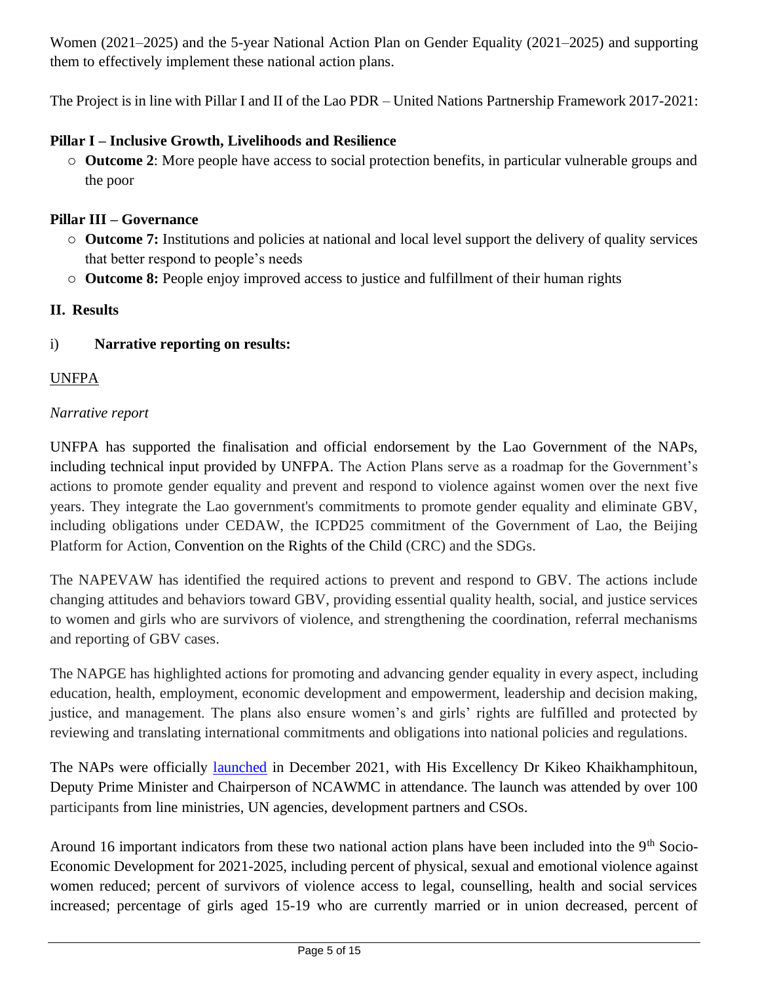Women (2021–2025) and the 5-year National Action Plan on Gender Equality (2021–2025) and supporting them to effectively implement these national action plans.

The Project is in line with Pillar I and II of the Lao PDR – United Nations Partnership Framework 2017-2021:

## **Pillar I – Inclusive Growth, Livelihoods and Resilience**

o **Outcome 2**: More people have access to social protection benefits, in particular vulnerable groups and the poor

## **Pillar III – Governance**

- o **Outcome 7:** Institutions and policies at national and local level support the delivery of quality services that better respond to people's needs
- o **Outcome 8:** People enjoy improved access to justice and fulfillment of their human rights

# **II. Results**

# i) **Narrative reporting on results:**

# UNFPA

### *Narrative report*

UNFPA has supported the finalisation and official endorsement by the Lao Government of the NAPs, including technical input provided by UNFPA. The Action Plans serve as a roadmap for the Government's actions to promote gender equality and prevent and respond to violence against women over the next five years. They integrate the Lao government's commitments to promote gender equality and eliminate GBV, including obligations under CEDAW, the ICPD25 commitment of the Government of Lao, the Beijing Platform for Action, Convention on the Rights of the Child (CRC) and the SDGs.

The NAPEVAW has identified the required actions to prevent and respond to GBV. The actions include changing attitudes and behaviors toward GBV, providing essential quality health, social, and justice services to women and girls who are survivors of violence, and strengthening the coordination, referral mechanisms and reporting of GBV cases.

The NAPGE has highlighted actions for promoting and advancing gender equality in every aspect, including education, health, employment, economic development and empowerment, leadership and decision making, justice, and management. The plans also ensure women's and girls' rights are fulfilled and protected by reviewing and translating international commitments and obligations into national policies and regulations.

The NAPs were officially [launched](https://lao.unfpa.org/en/news/official-launch-national-action-plans-promote-gender-equality-and-combat-violence-against-wom-0#:~:text=%22The%20UNFPA%20and%20Government%20of,of%20violence%20in%20every%20province.) in December 2021, with His Excellency Dr Kikeo Khaikhamphitoun, Deputy Prime Minister and Chairperson of NCAWMC in attendance. The launch was attended by over 100 participants from line ministries, UN agencies, development partners and CSOs.

Around 16 important indicators from these two national action plans have been included into the 9<sup>th</sup> Socio-Economic Development for 2021-2025, including percent of physical, sexual and emotional violence against women reduced; percent of survivors of violence access to legal, counselling, health and social services increased; percentage of girls aged 15-19 who are currently married or in union decreased, percent of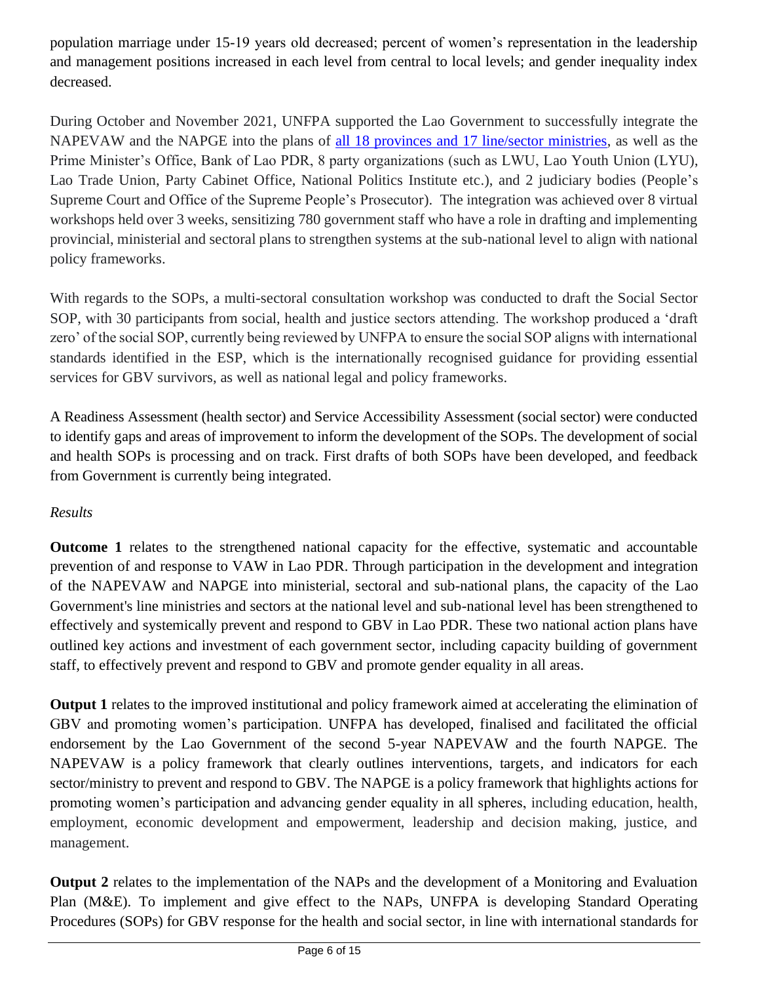population marriage under 15-19 years old decreased; percent of women's representation in the leadership and management positions increased in each level from central to local levels; and gender inequality index decreased.

During October and November 2021, UNFPA supported the Lao Government to successfully integrate the NAPEVAW and the NAPGE into the plans of [all 18 provinces and 17 line/sector ministries,](https://lao.unfpa.org/en/news/lao-pdr-integrates-national-policies-gender-equality-and-ending-violence-against-women-and) as well as the Prime Minister's Office, Bank of Lao PDR, 8 party organizations (such as LWU, Lao Youth Union (LYU), Lao Trade Union, Party Cabinet Office, National Politics Institute etc.), and 2 judiciary bodies (People's Supreme Court and Office of the Supreme People's Prosecutor). The integration was achieved over 8 virtual workshops held over 3 weeks, sensitizing 780 government staff who have a role in drafting and implementing provincial, ministerial and sectoral plans to strengthen systems at the sub-national level to align with national policy frameworks.

With regards to the SOPs, a multi-sectoral consultation workshop was conducted to draft the Social Sector SOP, with 30 participants from social, health and justice sectors attending. The workshop produced a 'draft zero' of the social SOP, currently being reviewed by UNFPA to ensure the social SOP aligns with international standards identified in the ESP, which is the internationally recognised guidance for providing essential services for GBV survivors, as well as national legal and policy frameworks.

A Readiness Assessment (health sector) and Service Accessibility Assessment (social sector) were conducted to identify gaps and areas of improvement to inform the development of the SOPs. The development of social and health SOPs is processing and on track. First drafts of both SOPs have been developed, and feedback from Government is currently being integrated.

# *Results*

**Outcome 1** relates to the strengthened national capacity for the effective, systematic and accountable prevention of and response to VAW in Lao PDR. Through participation in the development and integration of the NAPEVAW and NAPGE into ministerial, sectoral and sub-national plans, the capacity of the Lao Government's line ministries and sectors at the national level and sub-national level has been strengthened to effectively and systemically prevent and respond to GBV in Lao PDR. These two national action plans have outlined key actions and investment of each government sector, including capacity building of government staff, to effectively prevent and respond to GBV and promote gender equality in all areas.

**Output 1** relates to the improved institutional and policy framework aimed at accelerating the elimination of GBV and promoting women's participation. UNFPA has developed, finalised and facilitated the official endorsement by the Lao Government of the second 5-year NAPEVAW and the fourth NAPGE. The NAPEVAW is a policy framework that clearly outlines interventions, targets, and indicators for each sector/ministry to prevent and respond to GBV. The NAPGE is a policy framework that highlights actions for promoting women's participation and advancing gender equality in all spheres, including education, health, employment, economic development and empowerment, leadership and decision making, justice, and management.

**Output 2** relates to the implementation of the NAPs and the development of a Monitoring and Evaluation Plan (M&E). To implement and give effect to the NAPs, UNFPA is developing Standard Operating Procedures (SOPs) for GBV response for the health and social sector, in line with international standards for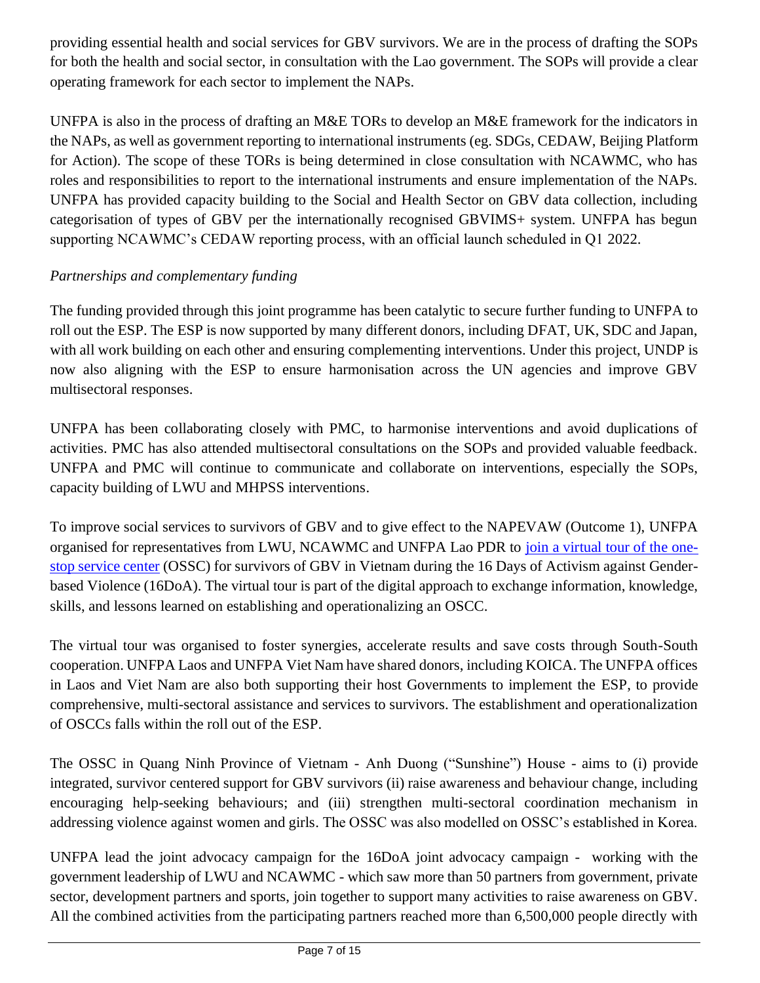providing essential health and social services for GBV survivors. We are in the process of drafting the SOPs for both the health and social sector, in consultation with the Lao government. The SOPs will provide a clear operating framework for each sector to implement the NAPs.

UNFPA is also in the process of drafting an M&E TORs to develop an M&E framework for the indicators in the NAPs, as well as government reporting to international instruments (eg. SDGs, CEDAW, Beijing Platform for Action). The scope of these TORs is being determined in close consultation with NCAWMC, who has roles and responsibilities to report to the international instruments and ensure implementation of the NAPs. UNFPA has provided capacity building to the Social and Health Sector on GBV data collection, including categorisation of types of GBV per the internationally recognised GBVIMS+ system. UNFPA has begun supporting NCAWMC's CEDAW reporting process, with an official launch scheduled in Q1 2022.

# *Partnerships and complementary funding*

The funding provided through this joint programme has been catalytic to secure further funding to UNFPA to roll out the ESP. The ESP is now supported by many different donors, including DFAT, UK, SDC and Japan, with all work building on each other and ensuring complementing interventions. Under this project, UNDP is now also aligning with the ESP to ensure harmonisation across the UN agencies and improve GBV multisectoral responses.

UNFPA has been collaborating closely with PMC, to harmonise interventions and avoid duplications of activities. PMC has also attended multisectoral consultations on the SOPs and provided valuable feedback. UNFPA and PMC will continue to communicate and collaborate on interventions, especially the SOPs, capacity building of LWU and MHPSS interventions.

To improve social services to survivors of GBV and to give effect to the NAPEVAW (Outcome 1), UNFPA organised for representatives from LWU, NCAWMC and UNFPA Lao PDR to [join a virtual tour of the one](https://lao.unfpa.org/en/news/unfpa-facilitates-virtual-tour-lwu-and-ncawmc-one-stop-service-center-vietnam-during-16-days)[stop service center](https://lao.unfpa.org/en/news/unfpa-facilitates-virtual-tour-lwu-and-ncawmc-one-stop-service-center-vietnam-during-16-days) (OSSC) for survivors of GBV in Vietnam during the 16 Days of Activism against Genderbased Violence (16DoA). The virtual tour is part of the digital approach to exchange information, knowledge, skills, and lessons learned on establishing and operationalizing an OSCC.

The virtual tour was organised to foster synergies, accelerate results and save costs through South-South cooperation. UNFPA Laos and UNFPA Viet Nam have shared donors, including KOICA. The UNFPA offices in Laos and Viet Nam are also both supporting their host Governments to implement the ESP, to provide comprehensive, multi-sectoral assistance and services to survivors. The establishment and operationalization of OSCCs falls within the roll out of the ESP.

The OSSC in Quang Ninh Province of Vietnam - Anh Duong ("Sunshine") House - aims to (i) provide integrated, survivor centered support for GBV survivors (ii) raise awareness and behaviour change, including encouraging help-seeking behaviours; and (iii) strengthen multi-sectoral coordination mechanism in addressing violence against women and girls. The OSSC was also modelled on OSSC's established in Korea.

UNFPA lead the joint advocacy campaign for the 16DoA joint advocacy campaign - working with the government leadership of LWU and NCAWMC - which saw more than 50 partners from government, private sector, development partners and sports, join together to support many activities to raise awareness on GBV. All the combined activities from the participating partners reached more than 6,500,000 people directly with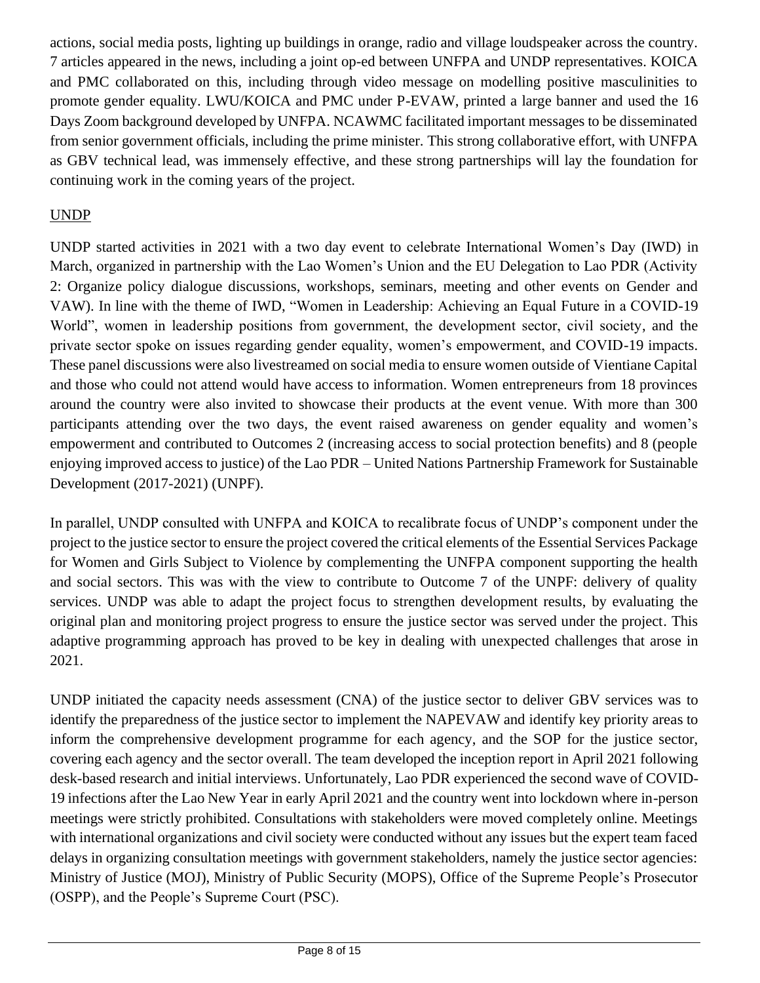actions, social media posts, lighting up buildings in orange, radio and village loudspeaker across the country. 7 articles appeared in the news, including a joint op-ed between UNFPA and UNDP representatives. KOICA and PMC collaborated on this, including through video message on modelling positive masculinities to promote gender equality. LWU/KOICA and PMC under P-EVAW, printed a large banner and used the 16 Days Zoom background developed by UNFPA. NCAWMC facilitated important messages to be disseminated from senior government officials, including the prime minister. This strong collaborative effort, with UNFPA as GBV technical lead, was immensely effective, and these strong partnerships will lay the foundation for continuing work in the coming years of the project.

# UNDP

UNDP started activities in 2021 with a two day event to [celebrate International Women's Day \(](https://www.facebook.com/UNDPLaoPDR/posts/5416151731759067)IWD) in March, organized in partnership with the Lao Women's Union and the EU Delegation to Lao PDR (Activity 2: Organize policy dialogue discussions, workshops, seminars, meeting and other events on Gender and VAW). In line with the theme of IWD, "Women in Leadership: Achieving an Equal Future in a COVID-19 World", women in leadership positions from government, the development sector, civil society, and the private sector spoke on issues regarding gender equality, women's empowerment, and COVID-19 impacts. These panel discussions were also livestreamed on social media to ensure women outside of Vientiane Capital and those who could not attend would have access to information. Women entrepreneurs from 18 provinces around the country were also invited to showcase their products at the event venue. With more than 300 participants attending over the two days, the event raised awareness on gender equality and women's empowerment and contributed to Outcomes 2 (increasing access to social protection benefits) and 8 (people enjoying improved access to justice) of the Lao PDR – United Nations Partnership Framework for Sustainable Development (2017-2021) (UNPF).

In parallel, UNDP consulted with UNFPA and KOICA to recalibrate focus of UNDP's component under the project to the justice sector to ensure the project covered the critical elements of the Essential Services Package for Women and Girls Subject to Violence by complementing the UNFPA component supporting the health and social sectors. This was with the view to contribute to Outcome 7 of the UNPF: delivery of quality services. UNDP was able to adapt the project focus to strengthen development results, by evaluating the original plan and monitoring project progress to ensure the justice sector was served under the project. This adaptive programming approach has proved to be key in dealing with unexpected challenges that arose in 2021.

UNDP initiated the capacity needs assessment (CNA) of the justice sector to deliver GBV services was to identify the preparedness of the justice sector to implement the NAPEVAW and identify key priority areas to inform the comprehensive development programme for each agency, and the SOP for the justice sector, covering each agency and the sector overall. The team developed the inception report in April 2021 following desk-based research and initial interviews. Unfortunately, Lao PDR experienced the second wave of COVID-19 infections after the Lao New Year in early April 2021 and the country went into lockdown where in-person meetings were strictly prohibited. Consultations with stakeholders were moved completely online. Meetings with international organizations and civil society were conducted without any issues but the expert team faced delays in organizing consultation meetings with government stakeholders, namely the justice sector agencies: Ministry of Justice (MOJ), Ministry of Public Security (MOPS), Office of the Supreme People's Prosecutor (OSPP), and the People's Supreme Court (PSC).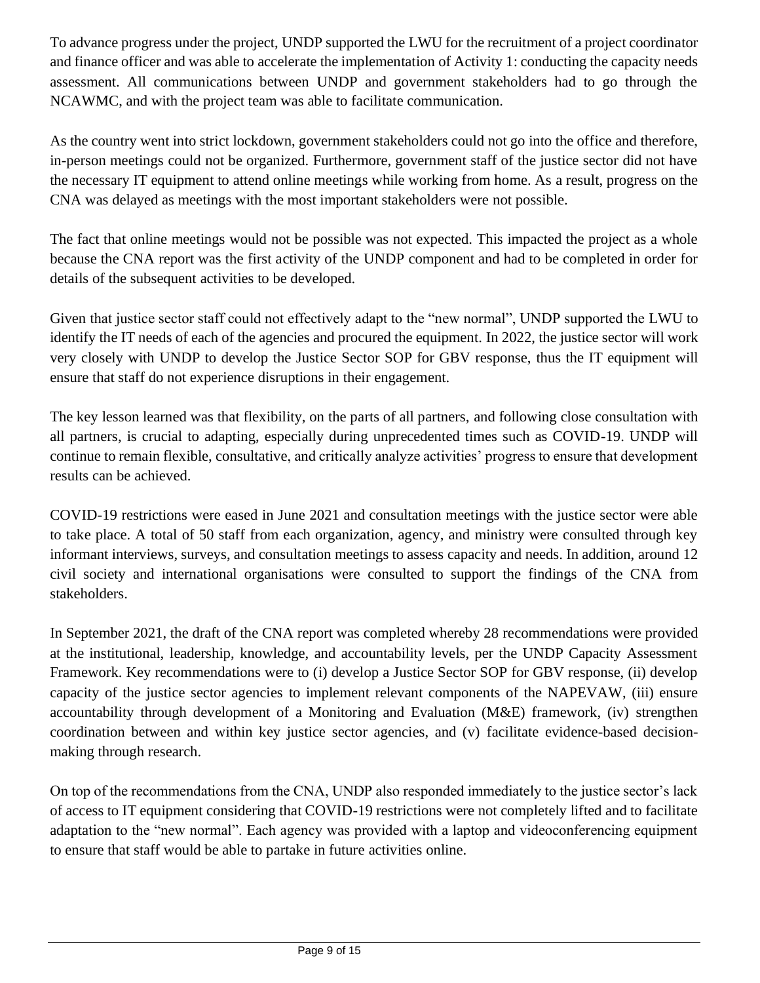To advance progress under the project, UNDP supported the LWU for the recruitment of a project coordinator and finance officer and was able to accelerate the implementation of Activity 1: conducting the capacity needs assessment. All communications between UNDP and government stakeholders had to go through the NCAWMC, and with the project team was able to facilitate communication.

As the country went into strict lockdown, government stakeholders could not go into the office and therefore, in-person meetings could not be organized. Furthermore, government staff of the justice sector did not have the necessary IT equipment to attend online meetings while working from home. As a result, progress on the CNA was delayed as meetings with the most important stakeholders were not possible.

The fact that online meetings would not be possible was not expected. This impacted the project as a whole because the CNA report was the first activity of the UNDP component and had to be completed in order for details of the subsequent activities to be developed.

Given that justice sector staff could not effectively adapt to the "new normal", UNDP supported the LWU to identify the IT needs of each of the agencies and procured the equipment. In 2022, the justice sector will work very closely with UNDP to develop the Justice Sector SOP for GBV response, thus the IT equipment will ensure that staff do not experience disruptions in their engagement.

The key lesson learned was that flexibility, on the parts of all partners, and following close consultation with all partners, is crucial to adapting, especially during unprecedented times such as COVID-19. UNDP will continue to remain flexible, consultative, and critically analyze activities' progress to ensure that development results can be achieved.

COVID-19 restrictions were eased in June 2021 and consultation meetings with the justice sector were able to take place. A total of 50 staff from each organization, agency, and ministry were consulted through key informant interviews, surveys, and consultation meetings to assess capacity and needs. In addition, around 12 civil society and international organisations were consulted to support the findings of the CNA from stakeholders.

In September 2021, the draft of the CNA report was completed whereby 28 recommendations were provided at the institutional, leadership, knowledge, and accountability levels, per the UNDP Capacity Assessment Framework. Key recommendations were to (i) develop a Justice Sector SOP for GBV response, (ii) develop capacity of the justice sector agencies to implement relevant components of the NAPEVAW, (iii) ensure accountability through development of a Monitoring and Evaluation (M&E) framework, (iv) strengthen coordination between and within key justice sector agencies, and (v) facilitate evidence-based decisionmaking through research.

On top of the recommendations from the CNA, UNDP also responded immediately to the justice sector's lack of access to IT equipment considering that COVID-19 restrictions were not completely lifted and to facilitate adaptation to the "new normal". Each agency was provided with a laptop and videoconferencing equipment to ensure that staff would be able to partake in future activities online.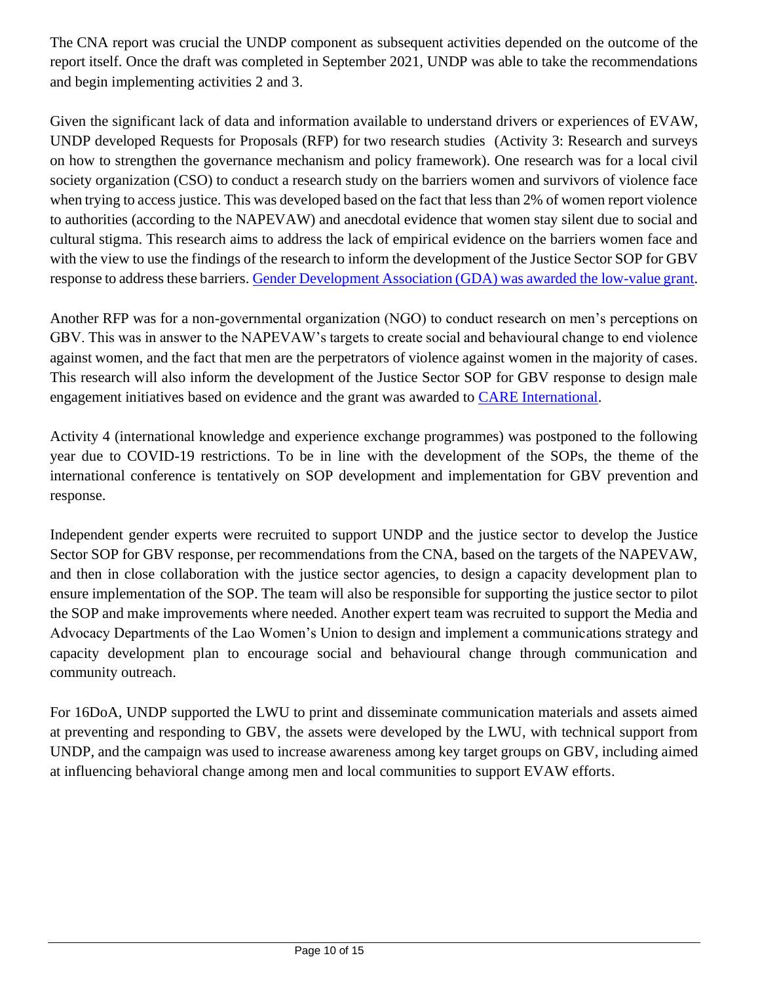The CNA report was crucial the UNDP component as subsequent activities depended on the outcome of the report itself. Once the draft was completed in September 2021, UNDP was able to take the recommendations and begin implementing activities 2 and 3.

Given the significant lack of data and information available to understand drivers or experiences of EVAW, UNDP developed Requests for Proposals (RFP) for two research studies (Activity 3: Research and surveys on how to strengthen the governance mechanism and policy framework). One research was for a local civil society organization (CSO) to conduct a research study on the barriers women and survivors of violence face when trying to access justice. This was developed based on the fact that less than 2% of women report violence to authorities (according to the NAPEVAW) and anecdotal evidence that women stay silent due to social and cultural stigma. This research aims to address the lack of empirical evidence on the barriers women face and with the view to use the findings of the research to inform the development of the Justice Sector SOP for GBV response to address these barriers. [Gender Development Association \(GDA\) was awarded the low-value grant.](https://www.facebook.com/UNDPLaoPDR/photos/a.397357840305173/6540127166028179/)

Another RFP was for a non-governmental organization (NGO) to conduct research on men's perceptions on GBV. This was in answer to the NAPEVAW's targets to create social and behavioural change to end violence against women, and the fact that men are the perpetrators of violence against women in the majority of cases. This research will also inform the development of the Justice Sector SOP for GBV response to design male engagement initiatives based on evidence and the grant was awarded to [CARE International.](https://www.facebook.com/UNDPLaoPDR/photos/a.397357840305173/6638517776189117/)

Activity 4 (international knowledge and experience exchange programmes) was postponed to the following year due to COVID-19 restrictions. To be in line with the development of the SOPs, the theme of the international conference is tentatively on SOP development and implementation for GBV prevention and response.

Independent gender experts were recruited to support UNDP and the justice sector to develop the Justice Sector SOP for GBV response, per recommendations from the CNA, based on the targets of the NAPEVAW, and then in close collaboration with the justice sector agencies, to design a capacity development plan to ensure implementation of the SOP. The team will also be responsible for supporting the justice sector to pilot the SOP and make improvements where needed. Another expert team was recruited to support the Media and Advocacy Departments of the Lao Women's Union to design and implement a communications strategy and capacity development plan to encourage social and behavioural change through communication and community outreach.

For 16DoA, UNDP supported the LWU to print and disseminate communication materials and assets aimed at preventing and responding to GBV, the assets were developed by the LWU, with technical support from UNDP, and the campaign was used to increase awareness among key target groups on GBV, including aimed at influencing behavioral change among men and local communities to support EVAW efforts.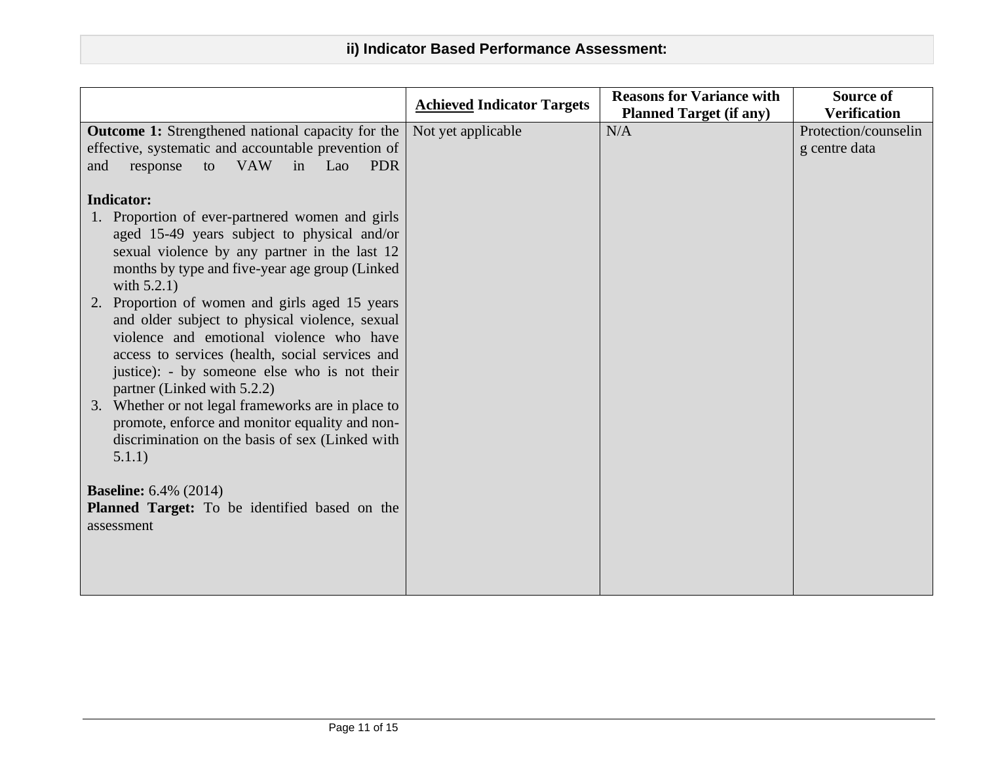|                                                                                                                                                                                                                                                                                   | <b>Achieved Indicator Targets</b> | <b>Reasons for Variance with</b> | Source of                             |
|-----------------------------------------------------------------------------------------------------------------------------------------------------------------------------------------------------------------------------------------------------------------------------------|-----------------------------------|----------------------------------|---------------------------------------|
|                                                                                                                                                                                                                                                                                   |                                   | <b>Planned Target (if any)</b>   | <b>Verification</b>                   |
| <b>Outcome 1:</b> Strengthened national capacity for the<br>effective, systematic and accountable prevention of<br><b>VAW</b><br>in Lao<br><b>PDR</b><br>response<br>to<br>and                                                                                                    | Not yet applicable                | N/A                              | Protection/counselin<br>g centre data |
| <b>Indicator:</b>                                                                                                                                                                                                                                                                 |                                   |                                  |                                       |
| 1. Proportion of ever-partnered women and girls<br>aged 15-49 years subject to physical and/or<br>sexual violence by any partner in the last 12<br>months by type and five-year age group (Linked<br>with $5.2.1$ )                                                               |                                   |                                  |                                       |
| Proportion of women and girls aged 15 years<br>2.<br>and older subject to physical violence, sexual<br>violence and emotional violence who have<br>access to services (health, social services and<br>justice): - by someone else who is not their<br>partner (Linked with 5.2.2) |                                   |                                  |                                       |
| 3. Whether or not legal frameworks are in place to<br>promote, enforce and monitor equality and non-<br>discrimination on the basis of sex (Linked with<br>5.1.1)                                                                                                                 |                                   |                                  |                                       |
| <b>Baseline:</b> 6.4% (2014)<br>Planned Target: To be identified based on the                                                                                                                                                                                                     |                                   |                                  |                                       |
| assessment                                                                                                                                                                                                                                                                        |                                   |                                  |                                       |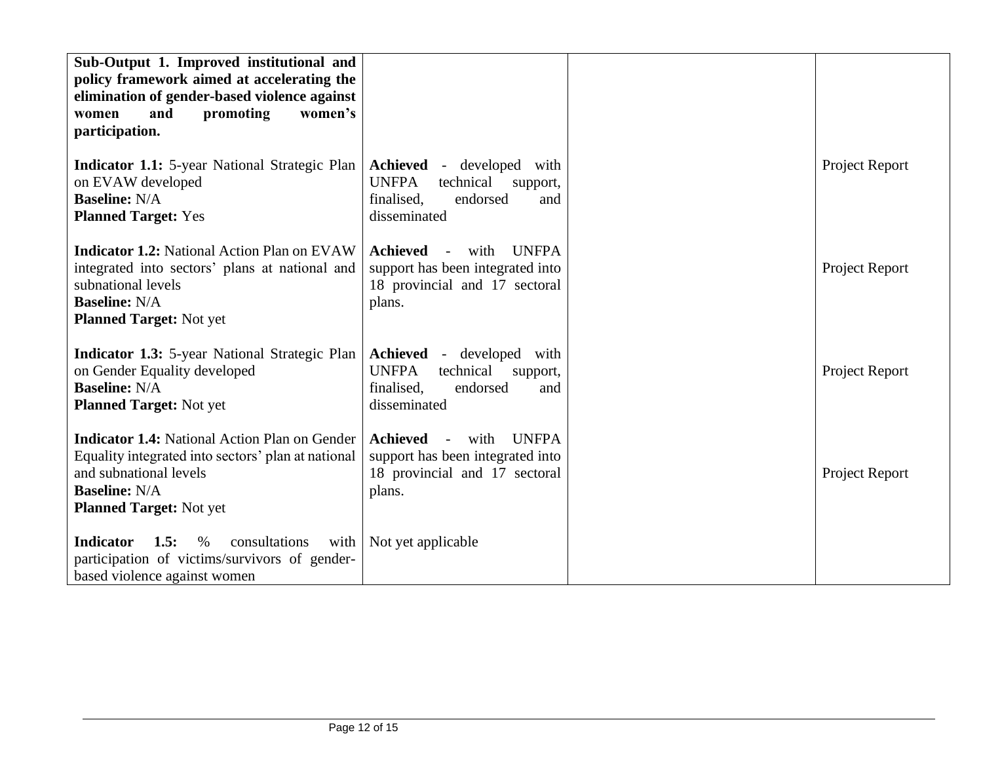| Sub-Output 1. Improved institutional and<br>policy framework aimed at accelerating the<br>elimination of gender-based violence against<br>women's<br>and<br>promoting<br>women<br>participation. |                                                                                                                                    |                |
|--------------------------------------------------------------------------------------------------------------------------------------------------------------------------------------------------|------------------------------------------------------------------------------------------------------------------------------------|----------------|
| <b>Indicator 1.1:</b> 5-year National Strategic Plan<br>on EVAW developed<br><b>Baseline: N/A</b><br><b>Planned Target: Yes</b>                                                                  | Achieved<br>developed with<br>$\sim$ $-$<br><b>UNFPA</b><br>technical<br>support,<br>finalised.<br>endorsed<br>and<br>disseminated | Project Report |
| <b>Indicator 1.2:</b> National Action Plan on EVAW<br>integrated into sectors' plans at national and<br>subnational levels<br><b>Baseline: N/A</b><br><b>Planned Target: Not yet</b>             | <b>Achieved</b><br><b>UNFPA</b><br>with<br>support has been integrated into<br>18 provincial and 17 sectoral<br>plans.             | Project Report |
| <b>Indicator 1.3:</b> 5-year National Strategic Plan<br>on Gender Equality developed<br><b>Baseline: N/A</b><br><b>Planned Target: Not yet</b>                                                   | Achieved<br>- developed with<br><b>UNFPA</b><br>technical<br>support,<br>finalised.<br>endorsed<br>and<br>disseminated             | Project Report |
| <b>Indicator 1.4:</b> National Action Plan on Gender<br>Equality integrated into sectors' plan at national<br>and subnational levels<br><b>Baseline: N/A</b><br><b>Planned Target: Not yet</b>   | <b>Achieved</b><br><b>UNFPA</b><br>with<br>support has been integrated into<br>18 provincial and 17 sectoral<br>plans.             | Project Report |
| <b>Indicator</b><br>1.5:<br>consultations<br>$\%$<br>with<br>participation of victims/survivors of gender-<br>based violence against women                                                       | Not yet applicable                                                                                                                 |                |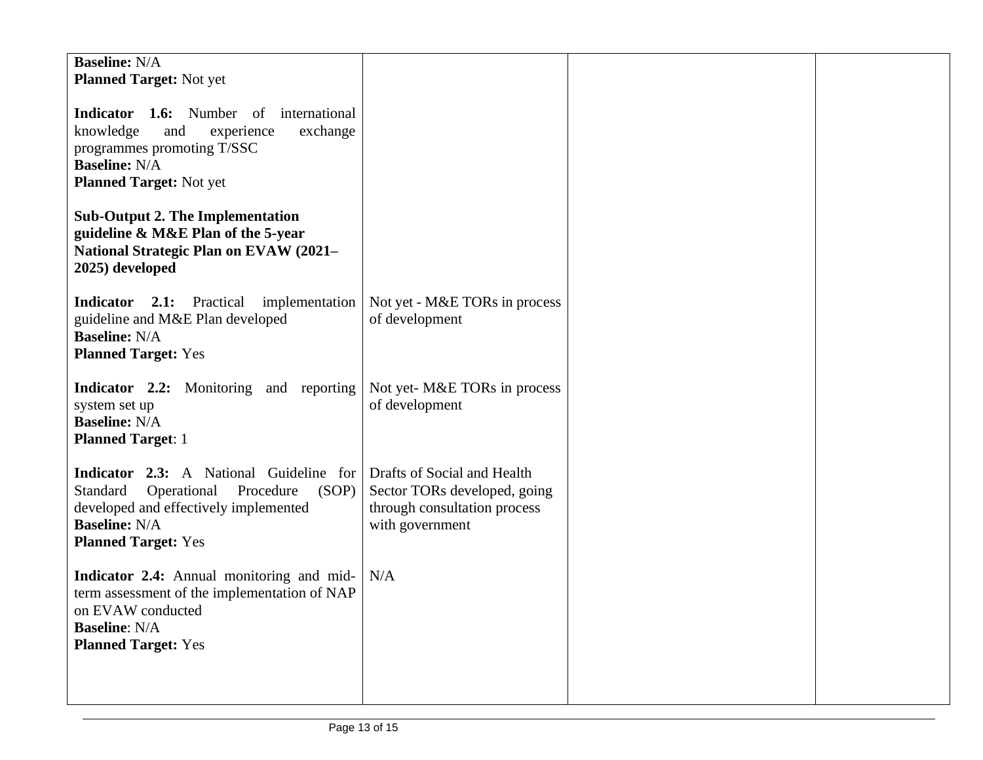| <b>Baseline: N/A</b><br><b>Planned Target: Not yet</b><br><b>Indicator 1.6:</b> Number of<br>international<br>knowledge<br>and<br>experience<br>exchange<br>programmes promoting T/SSC<br><b>Baseline: N/A</b><br><b>Planned Target: Not yet</b> |                                                                                 |  |
|--------------------------------------------------------------------------------------------------------------------------------------------------------------------------------------------------------------------------------------------------|---------------------------------------------------------------------------------|--|
| <b>Sub-Output 2. The Implementation</b><br>guideline & M&E Plan of the 5-year<br><b>National Strategic Plan on EVAW (2021-</b><br>2025) developed                                                                                                |                                                                                 |  |
| <b>Indicator</b> 2.1: Practical implementation<br>guideline and M&E Plan developed<br><b>Baseline: N/A</b><br><b>Planned Target: Yes</b>                                                                                                         | Not yet - M&E TORs in process<br>of development                                 |  |
| <b>Indicator 2.2:</b> Monitoring and reporting<br>system set up<br><b>Baseline: N/A</b><br><b>Planned Target: 1</b>                                                                                                                              | Not yet-M&E TORs in process<br>of development                                   |  |
| <b>Indicator</b> 2.3: A National Guideline for Drafts of Social and Health<br>Operational Procedure<br>Standard<br>(SOP)<br>developed and effectively implemented<br><b>Baseline: N/A</b><br><b>Planned Target: Yes</b>                          | Sector TORs developed, going<br>through consultation process<br>with government |  |
| <b>Indicator 2.4:</b> Annual monitoring and mid-<br>term assessment of the implementation of NAP<br>on EVAW conducted<br><b>Baseline: N/A</b><br><b>Planned Target: Yes</b>                                                                      | N/A                                                                             |  |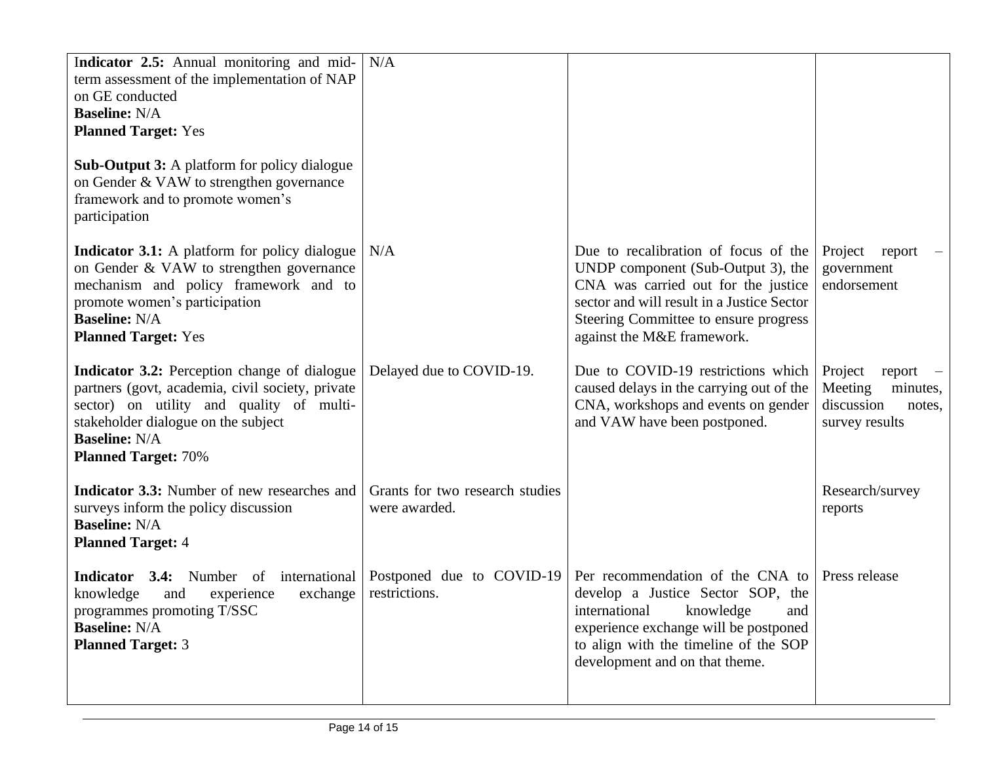| Indicator 2.5: Annual monitoring and mid-<br>term assessment of the implementation of NAP<br>on GE conducted<br><b>Baseline: N/A</b><br><b>Planned Target: Yes</b>                                                                               | N/A                                              |                                                                                                                                                                                                                                              |                                                                                        |
|--------------------------------------------------------------------------------------------------------------------------------------------------------------------------------------------------------------------------------------------------|--------------------------------------------------|----------------------------------------------------------------------------------------------------------------------------------------------------------------------------------------------------------------------------------------------|----------------------------------------------------------------------------------------|
| <b>Sub-Output 3:</b> A platform for policy dialogue<br>on Gender & VAW to strengthen governance<br>framework and to promote women's<br>participation                                                                                             |                                                  |                                                                                                                                                                                                                                              |                                                                                        |
| <b>Indicator 3.1:</b> A platform for policy dialogue<br>on Gender & VAW to strengthen governance<br>mechanism and policy framework and to<br>promote women's participation<br><b>Baseline: N/A</b><br><b>Planned Target: Yes</b>                 | N/A                                              | Due to recalibration of focus of the<br>UNDP component (Sub-Output 3), the<br>CNA was carried out for the justice<br>sector and will result in a Justice Sector<br>Steering Committee to ensure progress<br>against the M&E framework.       | Project report<br>government<br>endorsement                                            |
| <b>Indicator 3.2:</b> Perception change of dialogue<br>partners (govt, academia, civil society, private<br>sector) on utility and quality of multi-<br>stakeholder dialogue on the subject<br><b>Baseline: N/A</b><br><b>Planned Target: 70%</b> | Delayed due to COVID-19.                         | Due to COVID-19 restrictions which<br>caused delays in the carrying out of the<br>CNA, workshops and events on gender<br>and VAW have been postponed.                                                                                        | Project<br>$report$ –<br>Meeting<br>minutes,<br>discussion<br>notes,<br>survey results |
| <b>Indicator 3.3:</b> Number of new researches and<br>surveys inform the policy discussion<br><b>Baseline: N/A</b><br><b>Planned Target: 4</b>                                                                                                   | Grants for two research studies<br>were awarded. |                                                                                                                                                                                                                                              | Research/survey<br>reports                                                             |
| <b>Indicator</b><br><b>3.4:</b> Number of international<br>knowledge<br>exchange<br>and<br>experience<br>programmes promoting T/SSC<br><b>Baseline: N/A</b><br><b>Planned Target: 3</b>                                                          | Postponed due to COVID-19<br>restrictions.       | Per recommendation of the CNA to Press release<br>develop a Justice Sector SOP, the<br>and<br>knowledge<br>international<br>experience exchange will be postponed<br>to align with the timeline of the SOP<br>development and on that theme. |                                                                                        |